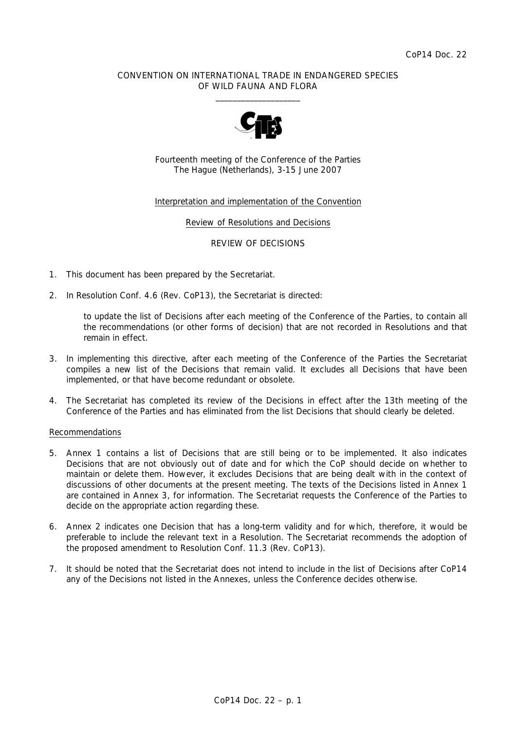### CONVENTION ON INTERNATIONAL TRADE IN ENDANGERED SPECIES OF WILD FAUNA AND FLORA  $\frac{1}{2}$  , and the set of the set of the set of the set of the set of the set of the set of the set of the set of the set of the set of the set of the set of the set of the set of the set of the set of the set of the set



Fourteenth meeting of the Conference of the Parties The Hague (Netherlands), 3-15 June 2007

### Interpretation and implementation of the Convention

Review of Resolutions and Decisions

REVIEW OF DECISIONS

- 1. This document has been prepared by the Secretariat.
- 2. In Resolution Conf. 4.6 (Rev. CoP13), the Secretariat is directed:

to update the list of Decisions after each meeting of the Conference of the Parties, to contain all *the recommendations (or other forms of decision) that are not recorded in Resolutions and that remain in effect.* 

- 3. In implementing this directive, after each meeting of the Conference of the Parties the Secretariat compiles a new list of the Decisions that remain valid. It excludes all Decisions that have been implemented, or that have become redundant or obsolete.
- 4. The Secretariat has completed its review of the Decisions in effect after the 13th meeting of the Conference of the Parties and has eliminated from the list Decisions that should clearly be deleted.

#### Recommendations

- 5. Annex 1 contains a list of Decisions that are still being or to be implemented. It also indicates Decisions that are not obviously out of date and for which the CoP should decide on whether to maintain or delete them. However, it excludes Decisions that are being dealt with in the context of discussions of other documents at the present meeting. The texts of the Decisions listed in Annex 1 are contained in Annex 3, for information. The Secretariat requests the Conference of the Parties to decide on the appropriate action regarding these.
- 6. Annex 2 indicates one Decision that has a long-term validity and for which, therefore, it would be preferable to include the relevant text in a Resolution. The Secretariat recommends the adoption of the proposed amendment to Resolution Conf. 11.3 (Rev. CoP13).
- 7. It should be noted that the Secretariat does not intend to include in the list of Decisions after CoP14 any of the Decisions not listed in the Annexes, unless the Conference decides otherwise.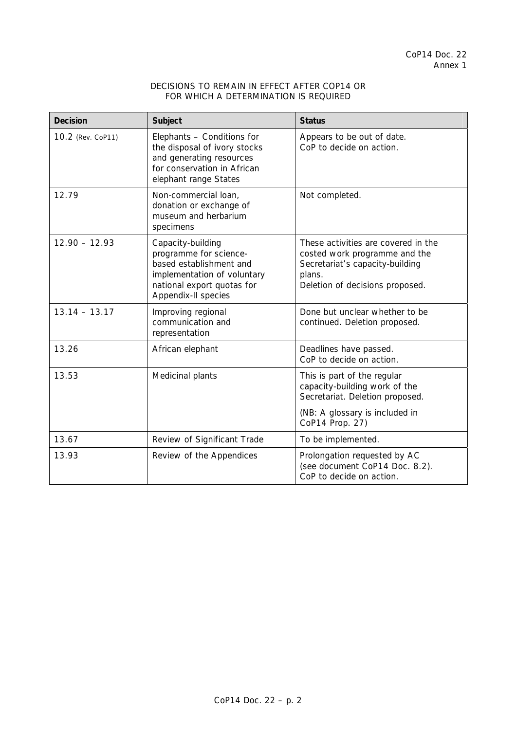## DECISIONS TO REMAIN IN EFFECT AFTER COP14 OR FOR WHICH A DETERMINATION IS REQUIRED

| <b>Decision</b>   | Subject                                                                                                                                                    | <b>Status</b>                                                                                                                                        |
|-------------------|------------------------------------------------------------------------------------------------------------------------------------------------------------|------------------------------------------------------------------------------------------------------------------------------------------------------|
| 10.2 (Rev. CoP11) | Elephants - Conditions for<br>the disposal of ivory stocks<br>and generating resources<br>for conservation in African<br>elephant range States             | Appears to be out of date.<br>CoP to decide on action.                                                                                               |
| 12.79             | Non-commercial loan,<br>donation or exchange of<br>museum and herbarium<br>specimens                                                                       | Not completed.                                                                                                                                       |
| $12.90 - 12.93$   | Capacity-building<br>programme for science-<br>based establishment and<br>implementation of voluntary<br>national export quotas for<br>Appendix-II species | These activities are covered in the<br>costed work programme and the<br>Secretariat's capacity-building<br>plans.<br>Deletion of decisions proposed. |
| $13.14 - 13.17$   | Improving regional<br>communication and<br>representation                                                                                                  | Done but unclear whether to be<br>continued. Deletion proposed.                                                                                      |
| 13.26             | African elephant                                                                                                                                           | Deadlines have passed.<br>CoP to decide on action.                                                                                                   |
| 13.53             | Medicinal plants                                                                                                                                           | This is part of the regular<br>capacity-building work of the<br>Secretariat. Deletion proposed.                                                      |
|                   |                                                                                                                                                            | (NB: A glossary is included in<br>CoP14 Prop. 27)                                                                                                    |
| 13.67             | Review of Significant Trade                                                                                                                                | To be implemented.                                                                                                                                   |
| 13.93             | Review of the Appendices                                                                                                                                   | Prolongation requested by AC<br>(see document CoP14 Doc. 8.2).<br>CoP to decide on action.                                                           |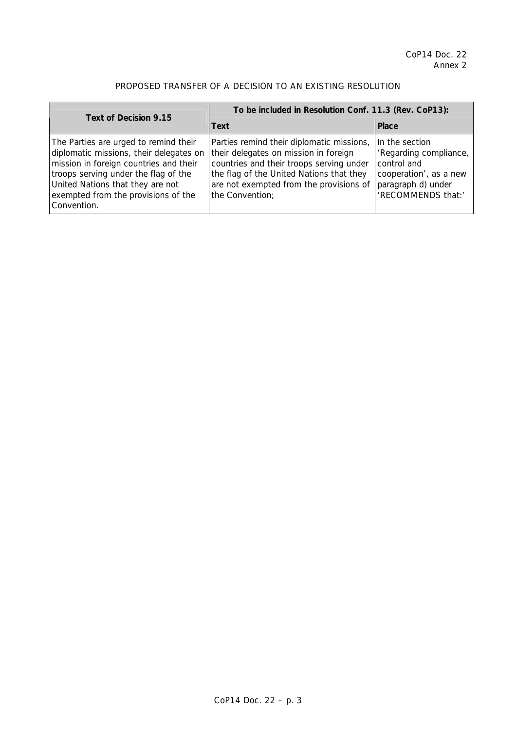## PROPOSED TRANSFER OF A DECISION TO AN EXISTING RESOLUTION

| Text of Decision 9.15                                                                                                                                                                                                                                        | To be included in Resolution Conf. 11.3 (Rev. CoP13):                                                                                                                                                                                    |                                                                                                                               |  |
|--------------------------------------------------------------------------------------------------------------------------------------------------------------------------------------------------------------------------------------------------------------|------------------------------------------------------------------------------------------------------------------------------------------------------------------------------------------------------------------------------------------|-------------------------------------------------------------------------------------------------------------------------------|--|
|                                                                                                                                                                                                                                                              | Text                                                                                                                                                                                                                                     | <b>Place</b>                                                                                                                  |  |
| The Parties are urged to remind their<br>diplomatic missions, their delegates on<br>mission in foreign countries and their<br>troops serving under the flag of the<br>United Nations that they are not<br>exempted from the provisions of the<br>Convention. | Parties remind their diplomatic missions,<br>their delegates on mission in foreign<br>countries and their troops serving under<br>the flag of the United Nations that they<br>are not exempted from the provisions of<br>the Convention; | In the section<br>'Regarding compliance,<br>control and<br>cooperation', as a new<br>paragraph d) under<br>'RECOMMENDS that:' |  |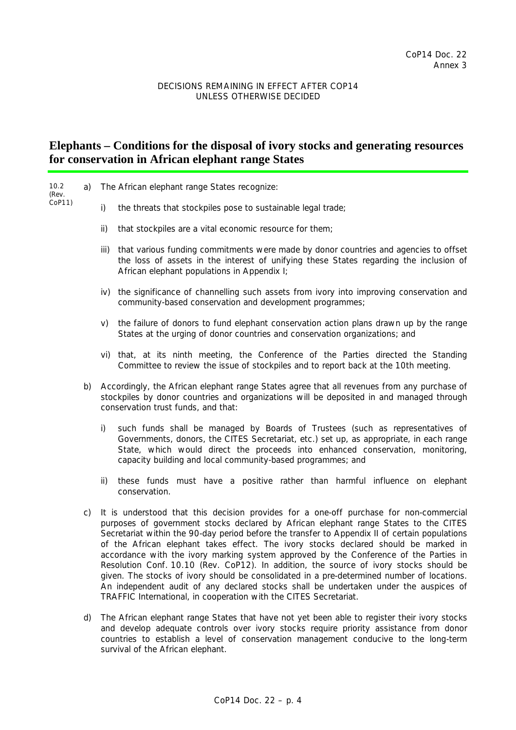## DECISIONS REMAINING IN EFFECT AFTER COP14 UNLESS OTHERWISE DECIDED

# **Elephants – Conditions for the disposal of ivory stocks and generating resources for conservation in African elephant range States**

| 10.2<br>(Rev.<br>$COP11$ ) | a) |                                                                                                                                                                                                                                | The African elephant range States recognize:                                                                                                                                                                                                                                                                                                                                                                                                                                                                                                                                                                                                                                                                                                                                                                           |  |
|----------------------------|----|--------------------------------------------------------------------------------------------------------------------------------------------------------------------------------------------------------------------------------|------------------------------------------------------------------------------------------------------------------------------------------------------------------------------------------------------------------------------------------------------------------------------------------------------------------------------------------------------------------------------------------------------------------------------------------------------------------------------------------------------------------------------------------------------------------------------------------------------------------------------------------------------------------------------------------------------------------------------------------------------------------------------------------------------------------------|--|
|                            |    | i)                                                                                                                                                                                                                             | the threats that stockpiles pose to sustainable legal trade;                                                                                                                                                                                                                                                                                                                                                                                                                                                                                                                                                                                                                                                                                                                                                           |  |
|                            |    | $\mathsf{ii}$                                                                                                                                                                                                                  | that stockpiles are a vital economic resource for them;                                                                                                                                                                                                                                                                                                                                                                                                                                                                                                                                                                                                                                                                                                                                                                |  |
|                            |    | iii)                                                                                                                                                                                                                           | that various funding commitments were made by donor countries and agencies to offset<br>the loss of assets in the interest of unifying these States regarding the inclusion of<br>African elephant populations in Appendix I;                                                                                                                                                                                                                                                                                                                                                                                                                                                                                                                                                                                          |  |
|                            |    |                                                                                                                                                                                                                                | iv) the significance of channelling such assets from ivory into improving conservation and<br>community-based conservation and development programmes;                                                                                                                                                                                                                                                                                                                                                                                                                                                                                                                                                                                                                                                                 |  |
|                            |    | V)                                                                                                                                                                                                                             | the failure of donors to fund elephant conservation action plans drawn up by the range<br>States at the urging of donor countries and conservation organizations; and                                                                                                                                                                                                                                                                                                                                                                                                                                                                                                                                                                                                                                                  |  |
|                            |    |                                                                                                                                                                                                                                | vi) that, at its ninth meeting, the Conference of the Parties directed the Standing<br>Committee to review the issue of stockpiles and to report back at the 10th meeting.                                                                                                                                                                                                                                                                                                                                                                                                                                                                                                                                                                                                                                             |  |
|                            | b) | Accordingly, the African elephant range States agree that all revenues from any purchase of<br>stockpiles by donor countries and organizations will be deposited in and managed through<br>conservation trust funds, and that: |                                                                                                                                                                                                                                                                                                                                                                                                                                                                                                                                                                                                                                                                                                                                                                                                                        |  |
|                            |    | i)                                                                                                                                                                                                                             | such funds shall be managed by Boards of Trustees (such as representatives of<br>Governments, donors, the CITES Secretariat, etc.) set up, as appropriate, in each range<br>State, which would direct the proceeds into enhanced conservation, monitoring,<br>capacity building and local community-based programmes; and                                                                                                                                                                                                                                                                                                                                                                                                                                                                                              |  |
|                            |    | ii)                                                                                                                                                                                                                            | these funds must have a positive rather than harmful influence on elephant<br>conservation.                                                                                                                                                                                                                                                                                                                                                                                                                                                                                                                                                                                                                                                                                                                            |  |
|                            | C) |                                                                                                                                                                                                                                | It is understood that this decision provides for a one-off purchase for non-commercial<br>purposes of government stocks declared by African elephant range States to the CITES<br>Secretariat within the 90-day period before the transfer to Appendix II of certain populations<br>of the African elephant takes effect. The ivory stocks declared should be marked in<br>accordance with the ivory marking system approved by the Conference of the Parties in<br>Resolution Conf. 10.10 (Rev. CoP12). In addition, the source of ivory stocks should be<br>given. The stocks of ivory should be consolidated in a pre-determined number of locations.<br>An independent audit of any declared stocks shall be undertaken under the auspices of<br>TRAFFIC International, in cooperation with the CITES Secretariat. |  |

 d) The African elephant range States that have not yet been able to register their ivory stocks and develop adequate controls over ivory stocks require priority assistance from donor countries to establish a level of conservation management conducive to the long-term survival of the African elephant.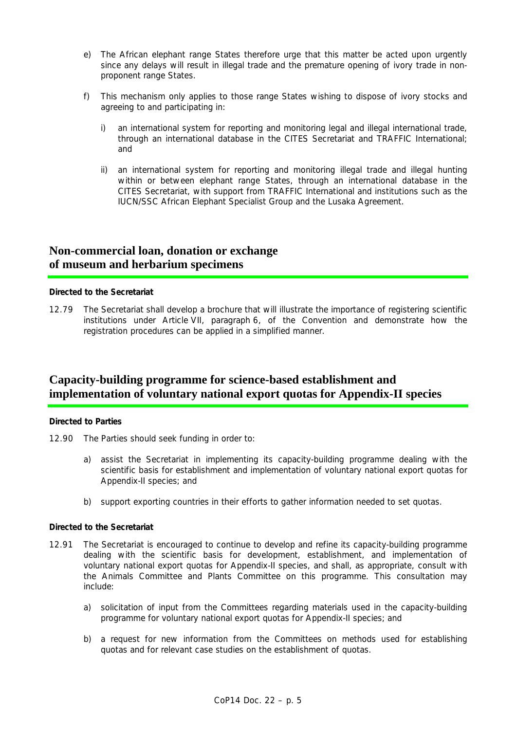- e) The African elephant range States therefore urge that this matter be acted upon urgently since any delays will result in illegal trade and the premature opening of ivory trade in nonproponent range States.
- f) This mechanism only applies to those range States wishing to dispose of ivory stocks and agreeing to and participating in:
	- i) an international system for reporting and monitoring legal and illegal international trade, through an international database in the CITES Secretariat and TRAFFIC International; and
	- ii) an international system for reporting and monitoring illegal trade and illegal hunting within or between elephant range States, through an international database in the CITES Secretariat, with support from TRAFFIC International and institutions such as the IUCN/SSC African Elephant Specialist Group and the Lusaka Agreement.

# **Non-commercial loan, donation or exchange of museum and herbarium specimens**

## *Directed to the Secretariat*

12.79 The Secretariat shall develop a brochure that will illustrate the importance of registering scientific institutions under Article VII, paragraph 6, of the Convention and demonstrate how the registration procedures can be applied in a simplified manner.

# **Capacity-building programme for science-based establishment and implementation of voluntary national export quotas for Appendix-II species**

## *Directed to Parties*

- 12.90 The Parties should seek funding in order to:
	- a) assist the Secretariat in implementing its capacity-building programme dealing with the scientific basis for establishment and implementation of voluntary national export quotas for Appendix-II species; and
	- b) support exporting countries in their efforts to gather information needed to set quotas.

### *Directed to the Secretariat*

- 12.91 The Secretariat is encouraged to continue to develop and refine its capacity-building programme dealing with the scientific basis for development, establishment, and implementation of voluntary national export quotas for Appendix-II species, and shall, as appropriate, consult with the Animals Committee and Plants Committee on this programme. This consultation may include:
	- a) solicitation of input from the Committees regarding materials used in the capacity-building programme for voluntary national export quotas for Appendix-II species; and
	- b) a request for new information from the Committees on methods used for establishing quotas and for relevant case studies on the establishment of quotas.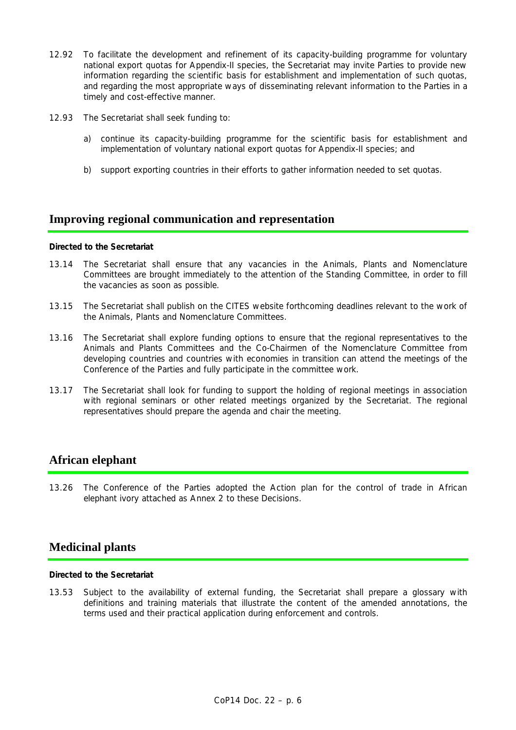- 12.92 To facilitate the development and refinement of its capacity-building programme for voluntary national export quotas for Appendix-II species, the Secretariat may invite Parties to provide new information regarding the scientific basis for establishment and implementation of such quotas, and regarding the most appropriate ways of disseminating relevant information to the Parties in a timely and cost-effective manner.
- 12.93 The Secretariat shall seek funding to:
	- a) continue its capacity-building programme for the scientific basis for establishment and implementation of voluntary national export quotas for Appendix-II species; and
	- b) support exporting countries in their efforts to gather information needed to set quotas.

# **Improving regional communication and representation**

### *Directed to the Secretariat*

- 13.14 The Secretariat shall ensure that any vacancies in the Animals, Plants and Nomenclature Committees are brought immediately to the attention of the Standing Committee, in order to fill the vacancies as soon as possible.
- 13.15 The Secretariat shall publish on the CITES website forthcoming deadlines relevant to the work of the Animals, Plants and Nomenclature Committees.
- 13.16 The Secretariat shall explore funding options to ensure that the regional representatives to the Animals and Plants Committees and the Co-Chairmen of the Nomenclature Committee from developing countries and countries with economies in transition can attend the meetings of the Conference of the Parties and fully participate in the committee work.
- 13.17 The Secretariat shall look for funding to support the holding of regional meetings in association with regional seminars or other related meetings organized by the Secretariat. The regional representatives should prepare the agenda and chair the meeting.

# **African elephant**

13.26 The Conference of the Parties adopted the *Action plan for the control of trade in African elephant ivory* attached as Annex 2 to these Decisions.

# **Medicinal plants**

### *Directed to the Secretariat*

13.53 Subject to the availability of external funding, the Secretariat shall prepare a glossary with definitions and training materials that illustrate the content of the amended annotations, the terms used and their practical application during enforcement and controls.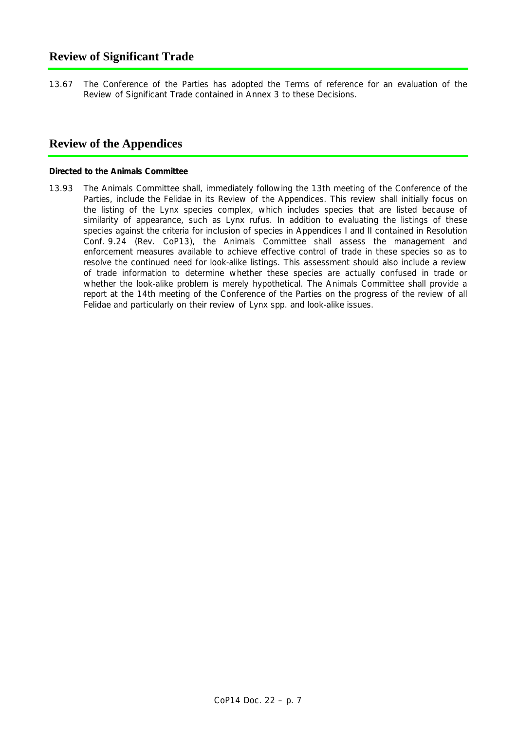# **Review of Significant Trade**

13.67 The Conference of the Parties has adopted the *Terms of reference for an evaluation of the Review of Significant Trade* contained in Annex 3 to these Decisions.

# **Review of the Appendices**

### *Directed to the Animals Committee*

13.93 The Animals Committee shall, immediately following the 13th meeting of the Conference of the Parties, include the Felidae in its Review of the Appendices. This review shall initially focus on the listing of the *Lynx* species complex, which includes species that are listed because of similarity of appearance, such as *Lynx rufus*. In addition to evaluating the listings of these species against the criteria for inclusion of species in Appendices I and II contained in Resolution Conf. 9.24 (Rev. CoP13), the Animals Committee shall assess the management and enforcement measures available to achieve effective control of trade in these species so as to resolve the continued need for look-alike listings. This assessment should also include a review of trade information to determine whether these species are actually confused in trade or whether the look-alike problem is merely hypothetical. The Animals Committee shall provide a report at the 14th meeting of the Conference of the Parties on the progress of the review of all Felidae and particularly on their review of *Lynx* spp. and look-alike issues.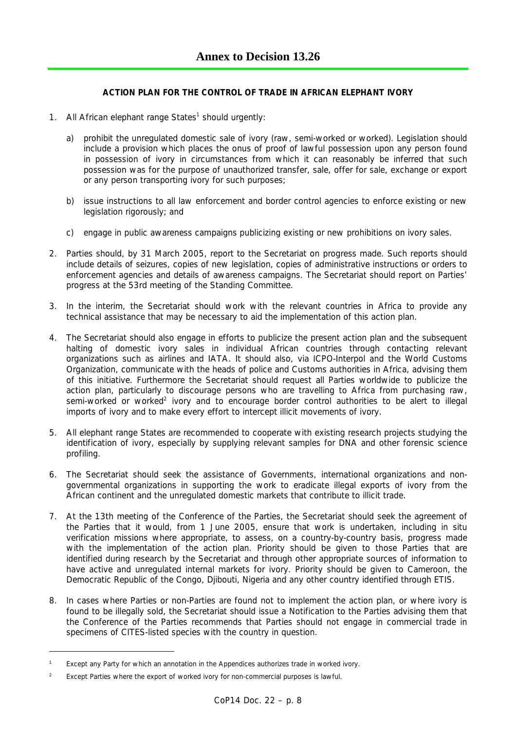## **ACTION PLAN FOR THE CONTROL OF TRADE IN AFRICAN ELEPHANT IVORY**

- 1. All African elephant range States<sup>1</sup> should urgently:
	- a) prohibit the unregulated domestic sale of ivory (raw, semi-worked or worked). Legislation should include a provision which places the onus of proof of lawful possession upon any person found in possession of ivory in circumstances from which it can reasonably be inferred that such possession was for the purpose of unauthorized transfer, sale, offer for sale, exchange or export or any person transporting ivory for such purposes;
	- b) issue instructions to all law enforcement and border control agencies to enforce existing or new legislation rigorously; and
	- c) engage in public awareness campaigns publicizing existing or new prohibitions on ivory sales.
- 2. Parties should, by 31 March 2005, report to the Secretariat on progress made. Such reports should include details of seizures, copies of new legislation, copies of administrative instructions or orders to enforcement agencies and details of awareness campaigns. The Secretariat should report on Parties' progress at the 53rd meeting of the Standing Committee.
- 3. In the interim, the Secretariat should work with the relevant countries in Africa to provide any technical assistance that may be necessary to aid the implementation of this action plan.
- 4. The Secretariat should also engage in efforts to publicize the present action plan and the subsequent halting of domestic ivory sales in individual African countries through contacting relevant organizations such as airlines and IATA. It should also, via ICPO-Interpol and the World Customs Organization, communicate with the heads of police and Customs authorities in Africa, advising them of this initiative. Furthermore the Secretariat should request all Parties worldwide to publicize the action plan, particularly to discourage persons who are travelling to Africa from purchasing raw, semi-worked or worked<sup>2</sup> ivory and to encourage border control authorities to be alert to illegal imports of ivory and to make every effort to intercept illicit movements of ivory.
- 5. All elephant range States are recommended to cooperate with existing research projects studying the identification of ivory, especially by supplying relevant samples for DNA and other forensic science profiling.
- 6. The Secretariat should seek the assistance of Governments, international organizations and nongovernmental organizations in supporting the work to eradicate illegal exports of ivory from the African continent and the unregulated domestic markets that contribute to illicit trade.
- 7. At the 13th meeting of the Conference of the Parties, the Secretariat should seek the agreement of the Parties that it would, from 1 June 2005, ensure that work is undertaken, including *in situ* verification missions where appropriate, to assess, on a country-by-country basis, progress made with the implementation of the action plan. Priority should be given to those Parties that are identified during research by the Secretariat and through other appropriate sources of information to have active and unregulated internal markets for ivory. Priority should be given to Cameroon, the Democratic Republic of the Congo, Djibouti, Nigeria and any other country identified through ETIS.
- 8. In cases where Parties or non-Parties are found not to implement the action plan, or where ivory is found to be illegally sold, the Secretariat should issue a Notification to the Parties advising them that the Conference of the Parties recommends that Parties should not engage in commercial trade in specimens of CITES-listed species with the country in question.

 $\overline{a}$ 

*<sup>1</sup> Except any Party for which an annotation in the Appendices authorizes trade in worked ivory.* 

*<sup>2</sup> Except Parties where the export of worked ivory for non-commercial purposes is lawful.*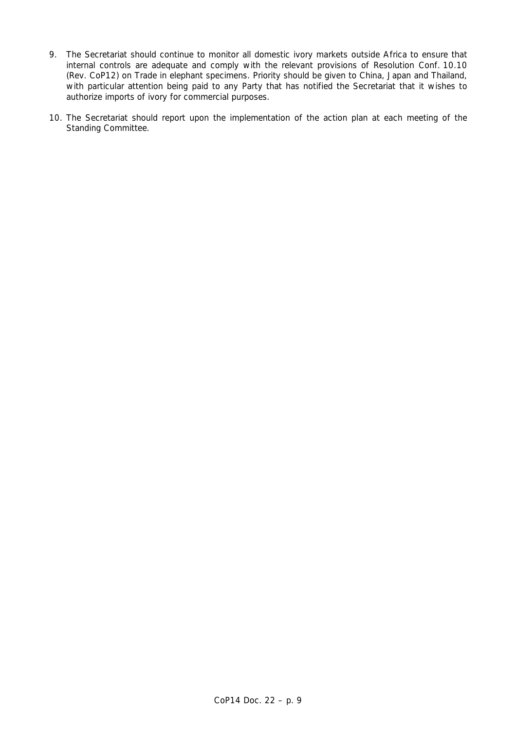- 9. The Secretariat should continue to monitor all domestic ivory markets outside Africa to ensure that internal controls are adequate and comply with the relevant provisions of Resolution Conf. 10.10 (Rev. CoP12) on Trade in elephant specimens. Priority should be given to China, Japan and Thailand, with particular attention being paid to any Party that has notified the Secretariat that it wishes to authorize imports of ivory for commercial purposes.
- 10. The Secretariat should report upon the implementation of the action plan at each meeting of the Standing Committee.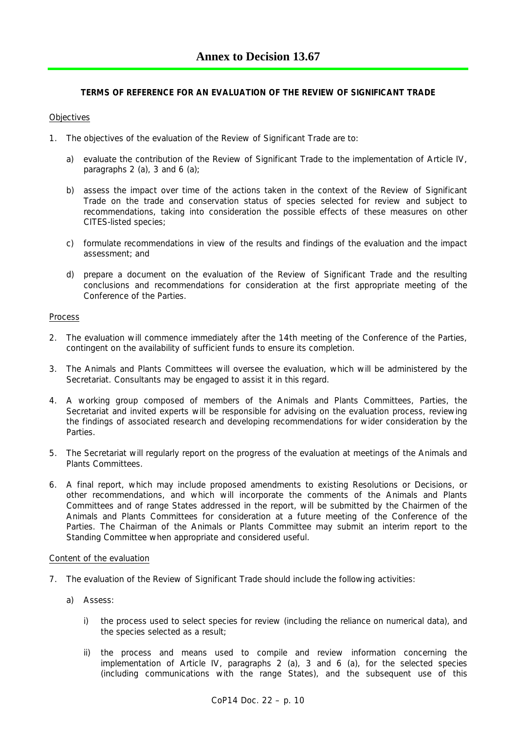## **TERMS OF REFERENCE FOR AN EVALUATION OF THE REVIEW OF SIGNIFICANT TRADE**

## **Objectives**

- 1. The objectives of the evaluation of the Review of Significant Trade are to:
	- a) evaluate the contribution of the Review of Significant Trade to the implementation of Article IV, paragraphs  $2$  (a),  $3$  and  $6$  (a);
	- b) assess the impact over time of the actions taken in the context of the Review of Significant Trade on the trade and conservation status of species selected for review and subject to recommendations, taking into consideration the possible effects of these measures on other CITES-listed species;
	- c) formulate recommendations in view of the results and findings of the evaluation and the impact assessment; and
	- d) prepare a document on the evaluation of the Review of Significant Trade and the resulting conclusions and recommendations for consideration at the first appropriate meeting of the Conference of the Parties.

### Process

- 2. The evaluation will commence immediately after the 14th meeting of the Conference of the Parties, contingent on the availability of sufficient funds to ensure its completion.
- 3. The Animals and Plants Committees will oversee the evaluation, which will be administered by the Secretariat. Consultants may be engaged to assist it in this regard.
- 4. A working group composed of members of the Animals and Plants Committees, Parties, the Secretariat and invited experts will be responsible for advising on the evaluation process, reviewing the findings of associated research and developing recommendations for wider consideration by the Parties.
- 5. The Secretariat will regularly report on the progress of the evaluation at meetings of the Animals and Plants Committees.
- 6. A final report, which may include proposed amendments to existing Resolutions or Decisions, or other recommendations, and which will incorporate the comments of the Animals and Plants Committees and of range States addressed in the report, will be submitted by the Chairmen of the Animals and Plants Committees for consideration at a future meeting of the Conference of the Parties. The Chairman of the Animals or Plants Committee may submit an interim report to the Standing Committee when appropriate and considered useful.

#### Content of the evaluation

- 7. The evaluation of the Review of Significant Trade should include the following activities:
	- a) Assess:
		- i) the process used to select species for review (including the reliance on numerical data), and the species selected as a result;
		- ii) the process and means used to compile and review information concerning the implementation of Article IV, paragraphs 2 (a), 3 and 6 (a), for the selected species (including communications with the range States), and the subsequent use of this